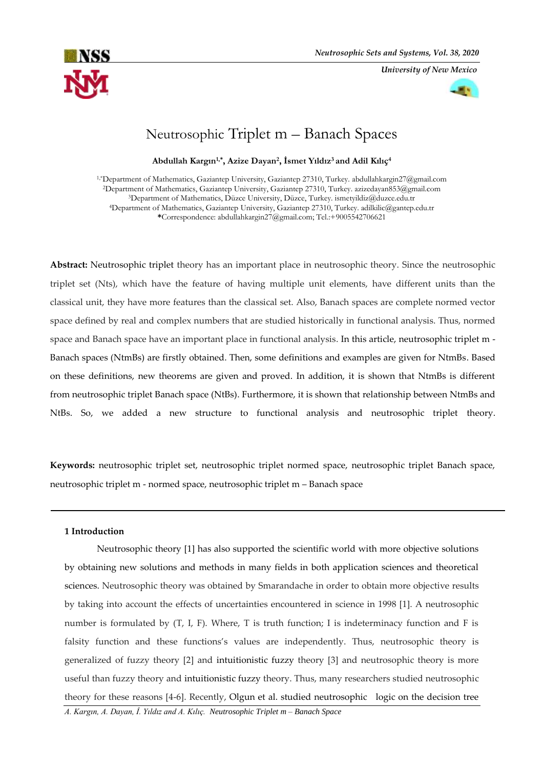*University of New Mexico*



# Neutrosophic Triplet m – Banach Spaces

**Abdullah Kargın1,\*, Azize Dayan<sup>2</sup> , İsmet Yıldız3 and Adil Kılıç<sup>4</sup>**

1,\*Department of Mathematics, Gaziantep University, Gaziantep 27310, Turkey. abdullahkargin27@gmail.com <sup>2</sup>Department of Mathematics, Gaziantep University, Gaziantep 27310, Turkey. azizedayan853@gmail.com <sup>3</sup>Department of Mathematics, Düzce University, Düzce, Turkey. ismetyildiz@duzce.edu.tr <sup>4</sup>Department of Mathematics, Gaziantep University, Gaziantep 27310, Turkey. adilkilic@gantep.edu.tr **\***Correspondence: abdullahkargin27@gmail.com; Tel.:+9005542706621

**Abstract:** Neutrosophic triplet theory has an important place in neutrosophic theory. Since the neutrosophic triplet set (Nts), which have the feature of having multiple unit elements, have different units than the classical unit, they have more features than the classical set. Also, Banach spaces are complete normed vector space defined by real and complex numbers that are studied historically in functional analysis. Thus, normed space and Banach space have an important place in functional analysis. In this article, neutrosophic triplet m - Banach spaces (NtmBs) are firstly obtained. Then, some definitions and examples are given for NtmBs. Based on these definitions, new theorems are given and proved. In addition, it is shown that NtmBs is different from neutrosophic triplet Banach space (NtBs). Furthermore, it is shown that relationship between NtmBs and NtBs. So, we added a new structure to functional analysis and neutrosophic triplet theory.

**Keywords:** neutrosophic triplet set, neutrosophic triplet normed space, neutrosophic triplet Banach space, neutrosophic triplet m - normed space, neutrosophic triplet m – Banach space

## **1 Introduction**

Neutrosophic theory [1] has also supported the scientific world with more objective solutions by obtaining new solutions and methods in many fields in both application sciences and theoretical sciences. Neutrosophic theory was obtained by Smarandache in order to obtain more objective results by taking into account the effects of uncertainties encountered in science in 1998 [1]. A neutrosophic number is formulated by  $(T, I, F)$ . Where, T is truth function; I is indeterminacy function and F is falsity function and these functions's values are independently. Thus, neutrosophic theory is generalized of fuzzy theory [2] and intuitionistic fuzzy theory [3] and neutrosophic theory is more useful than fuzzy theory and intuitionistic fuzzy theory. Thus, many researchers studied neutrosophic theory for these reasons [4-6]. Recently, Olgun et al. studied neutrosophic logic on the decision tree

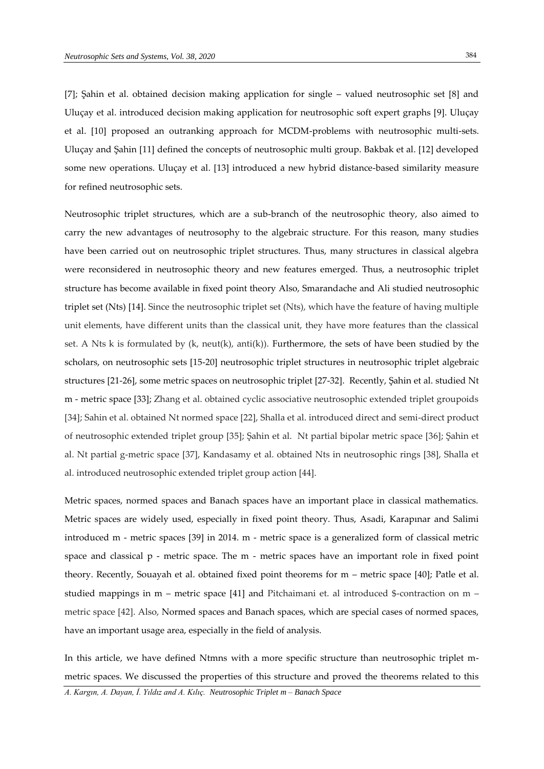[7]; Şahin et al. obtained decision making application for single – valued neutrosophic set [8] and Uluçay et al. introduced decision making application for neutrosophic soft expert graphs [9]. Uluçay et al. [10] proposed an outranking approach for MCDM-problems with neutrosophic multi-sets. Uluçay and Şahin [11] defined the concepts of neutrosophic multi group. Bakbak et al. [12] developed some new operations. Uluçay et al. [13] introduced a new hybrid distance-based similarity measure for refined neutrosophic sets.

Neutrosophic triplet structures, which are a sub-branch of the neutrosophic theory, also aimed to carry the new advantages of neutrosophy to the algebraic structure. For this reason, many studies have been carried out on neutrosophic triplet structures. Thus, many structures in classical algebra were reconsidered in neutrosophic theory and new features emerged. Thus, a neutrosophic triplet structure has become available in fixed point theory Also, Smarandache and Ali studied neutrosophic triplet set (Nts) [14]. Since the neutrosophic triplet set (Nts), which have the feature of having multiple unit elements, have different units than the classical unit, they have more features than the classical set. A Nts k is formulated by (k, neut(k), anti(k)). Furthermore, the sets of have been studied by the scholars, on neutrosophic sets [15-20] neutrosophic triplet structures in neutrosophic triplet algebraic structures [21-26], some metric spaces on neutrosophic triplet [27-32]. Recently, Şahin et al. studied Nt m - metric space [33]; Zhang et al. obtained cyclic associative neutrosophic extended triplet groupoids [34]; Sahin et al. obtained Nt normed space [22], Shalla et al. introduced direct and semi-direct product of neutrosophic extended triplet group [35]; Şahin et al. Nt partial bipolar metric space [36]; Şahin et al. Nt partial g-metric space [37], Kandasamy et al. obtained Nts in neutrosophic rings [38], Shalla et al. introduced neutrosophic extended triplet group action [44].

Metric spaces, normed spaces and Banach spaces have an important place in classical mathematics. Metric spaces are widely used, especially in fixed point theory. Thus, Asadi, Karapınar and Salimi introduced m - metric spaces [39] in 2014. m - metric space is a generalized form of classical metric space and classical p - metric space. The m - metric spaces have an important role in fixed point theory. Recently, Souayah et al. obtained fixed point theorems for m – metric space [40]; Patle et al. studied mappings in m – metric space [41] and Pitchaimani et. al introduced \$-contraction on m – metric space [42]. Also, Normed spaces and Banach spaces, which are special cases of normed spaces, have an important usage area, especially in the field of analysis.

In this article, we have defined Ntmns with a more specific structure than neutrosophic triplet mmetric spaces. We discussed the properties of this structure and proved the theorems related to this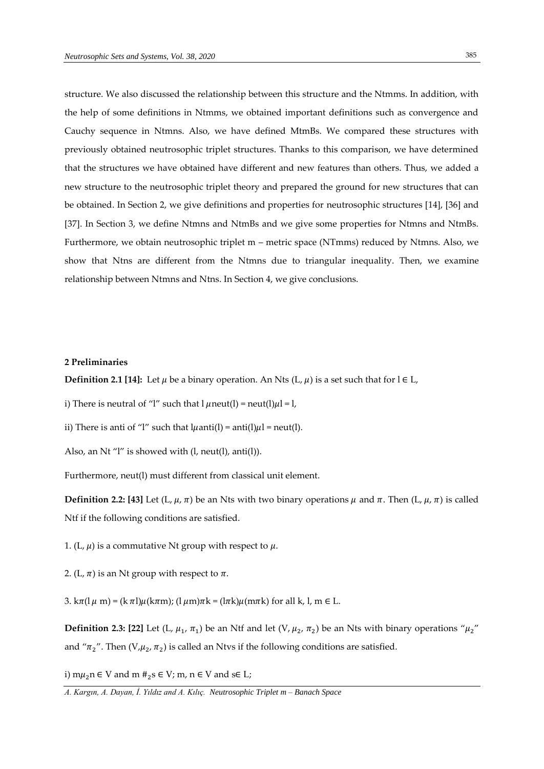structure. We also discussed the relationship between this structure and the Ntmms. In addition, with the help of some definitions in Ntmms, we obtained important definitions such as convergence and Cauchy sequence in Ntmns. Also, we have defined MtmBs. We compared these structures with previously obtained neutrosophic triplet structures. Thanks to this comparison, we have determined that the structures we have obtained have different and new features than others. Thus, we added a new structure to the neutrosophic triplet theory and prepared the ground for new structures that can be obtained. In Section 2, we give definitions and properties for neutrosophic structures [14], [36] and [37]. In Section 3, we define Ntmns and NtmBs and we give some properties for Ntmns and NtmBs. Furthermore, we obtain neutrosophic triplet m – metric space (NTmms) reduced by Ntmns. Also, we show that Ntns are different from the Ntmns due to triangular inequality. Then, we examine relationship between Ntmns and Ntns. In Section 4, we give conclusions.

## **2 Preliminaries**

**Definition 2.1 [14]:** Let  $\mu$  be a binary operation. An Nts (L,  $\mu$ ) is a set such that for l  $\in$  L,

i) There is neutral of "l" such that  $l \mu$ neut(l) = neut(l) $\mu$ l = l,

ii) There is anti of "l" such that  $l\mu$ anti(l) = anti(l) $\mu$ l = neut(l).

Also, an Nt "l" is showed with (l, neut(l), anti(l)).

Furthermore, neut(l) must different from classical unit element.

**Definition 2.2:** [43] Let  $(L, \mu, \pi)$  be an Nts with two binary operations  $\mu$  and  $\pi$ . Then  $(L, \mu, \pi)$  is called Ntf if the following conditions are satisfied.

1. (L,  $\mu$ ) is a commutative Nt group with respect to  $\mu$ .

2. (L,  $\pi$ ) is an Nt group with respect to  $\pi$ .

3. k $\pi$ (l  $\mu$  m) = (k  $\pi$ l) $\mu$ (k $\pi$ m); (l  $\mu$ m) $\pi$ k = (l $\pi$ k) $\mu$ (m $\pi$ k) for all k, l, m  $\in$  L.

**Definition 2.3: [22]** Let (L,  $\mu_1$ ,  $\pi_1$ ) be an Ntf and let (V,  $\mu_2$ ,  $\pi_2$ ) be an Nts with binary operations " $\mu_2$ " and " $\pi_2$ ". Then (V, $\mu_2$ ,  $\pi_2$ ) is called an Ntvs if the following conditions are satisfied.

i)  $m\mu_2$ n ∈ V and m  $\#_2$ s ∈ V; m, n ∈ V and s∈ L;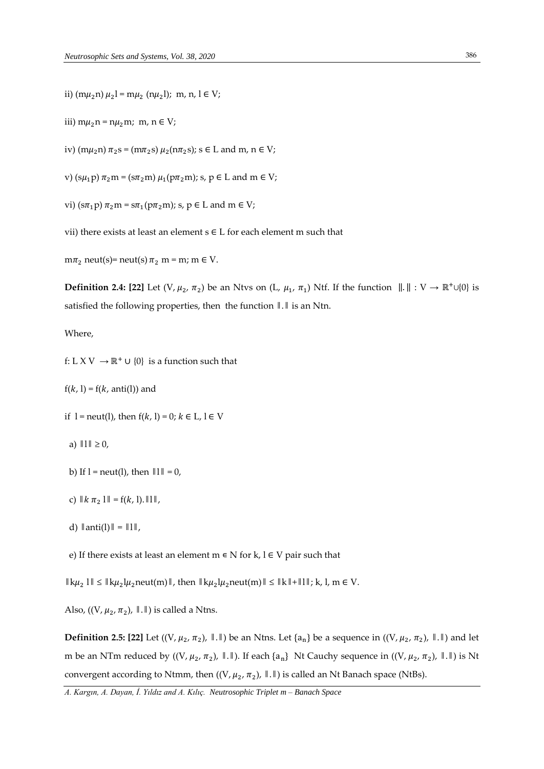ii)  $(m\mu_2 n) \mu_2 l = m\mu_2 (n\mu_2 l); m, n, l \in V;$ 

iii) m $\mu_2$ n = n $\mu_2$ m; m, n  $\in V$ ;

iv)  $(m\mu_2 n) \pi_2 s = (m\pi_2 s) \mu_2 (n\pi_2 s)$ ;  $s \in L$  and  $m, n \in V$ ;

v)  $(s\mu_1 p) \pi_2 m = (s\pi_2 m) \mu_1(p\pi_2 m)$ ; s,  $p \in L$  and  $m \in V$ ;

vi)  $(s\pi_1 p)\pi_2 m = s\pi_1(p\pi_2 m)$ ; s,  $p \in L$  and  $m \in V$ ;

vii) there exists at least an element  $s \in L$  for each element m such that

 $m\pi_2$  neut(s)= neut(s)  $\pi_2$  m = m; m  $\in$  V.

**Definition 2.4:** [22] Let  $(V, \mu_2, \pi_2)$  be an Ntvs on  $(L, \mu_1, \pi_1)$  Ntf. If the function  $\|.\|: V \to \mathbb{R}^+\cup\{0\}$  is satisfied the following properties, then the function ‖.‖ is an Ntn.

Where,

- f: L X V  $\rightarrow \mathbb{R}^+ \cup \{0\}$  is a function such that
- $f(k, l) = f(k, anti(l))$  and

if  $l = \text{neut}(l)$ , then  $f(k, l) = 0$ ;  $k \in L$ ,  $l \in V$ 

- a)  $||1|| \ge 0$ ,
- b) If  $l = \text{neut}(l)$ , then  $\|l\| = 0$ ,
- c)  $\| k \pi_2 1 \| = f(k, 1) . \| 1 \|$ ,
- d)  $\|\text{anti}(l)\| = \|l\|$ ,

e) If there exists at least an element  $m \in N$  for  $k, l \in V$  pair such that

 $\|\mathbf{k}\mu_2\| \leq \|\mathbf{k}\mu_2\mu_2$ neut(m) $\|\mathbf{k}\mu_2\mu_2\|$ neut(m) $\|\mathbf{k}\|\leq \|\mathbf{k}\|+\|\mathbf{l}\|\$ ; k, l, m  $\in \mathbf{V}$ .

Also,  $((V, \mu_2, \pi_2), \parallel \, \parallel)$  is called a Ntns.

**Definition 2.5: [22]** Let ((V,  $\mu_2$ ,  $\pi_2$ ),  $\|\|\|\$  be an Ntns. Let {a<sub>n</sub>} be a sequence in ((V,  $\mu_2$ ,  $\pi_2$ ),  $\|\|\|\$ ) and let m be an NTm reduced by  $((V, \mu_2, \pi_2), \dots, \text{If each } \{a_n\}$  Nt Cauchy sequence in  $((V, \mu_2, \pi_2), \dots, \text{If } \Pi)$  is Nt convergent according to Ntmm, then  $((V, \mu_2, \pi_2), \|\.\|)$  is called an Nt Banach space (NtBs).

*A. Kargın, A. Dayan, İ. Yıldız and A. Kılıç. Neutrosophic Triplet m – Banach Space*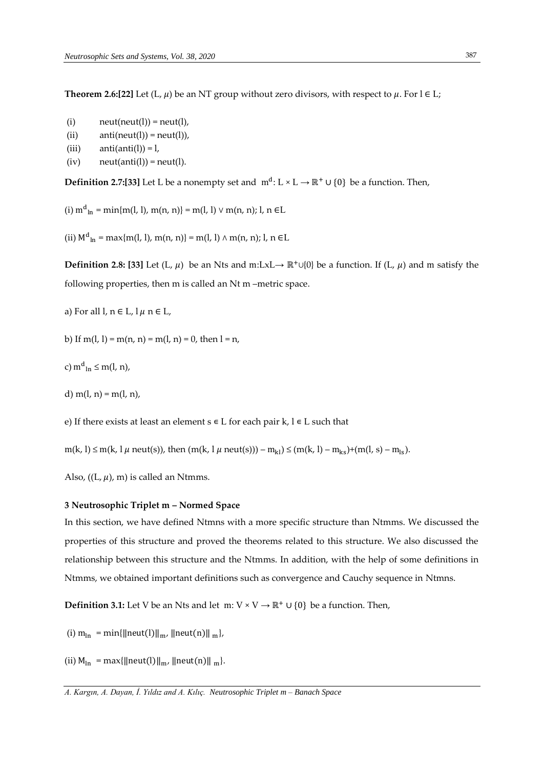**Theorem 2.6:[22]** Let (L,  $\mu$ ) be an NT group without zero divisors, with respect to  $\mu$ . For  $l \in L$ ;

- (i)  $neut(new(l)) = neut(l),$
- (ii)  $anti(new(l)) = neut(l)$ ,
- (iii)  $anti(anti(l)) = l$ ,
- $(iv)$  neut(anti(l)) = neut(l).

**Definition 2.7:[33]** Let L be a nonempty set and m<sup>d</sup>: L × L → ℝ<sup>+</sup> ∪ {0} be a function. Then,

(i)  $m^{d}$ <sub>ln</sub> = min{m(l, l), m(n, n)} = m(l, l)  $\vee$  m(n, n); l, n  $\in$ L

(ii)  $M_{ln}^d = \max\{m(l, l), m(n, n)\} = m(l, l) \wedge m(n, n); l, n \in L$ 

**Definition 2.8: [33]** Let (L,  $\mu$ ) be an Nts and m:LxL→ ℝ<sup>+</sup>∪{0} be a function. If (L,  $\mu$ ) and m satisfy the following properties, then m is called an Nt m –metric space.

a) For all  $l, n \in L, l \mu$   $n \in L$ ,

b) If  $m(l, l) = m(n, n) = m(l, n) = 0$ , then  $l = n$ ,

c)  $m<sup>d</sup>$ <sub>ln</sub>  $\leq m(l, n)$ ,

d)  $m(l, n) = m(l, n)$ ,

e) If there exists at least an element  $s \in L$  for each pair  $k, l \in L$  such that

 $m(k, l) \le m(k, l \mu \text{ neut(s)}),$  then  $(m(k, l \mu \text{ neut(s)})) - m_{kl} \le (m(k, l) - m_{ks}) + (m(l, s) - m_{ls}).$ 

Also,  $((L, \mu), m)$  is called an Ntmms.

## **3 Neutrosophic Triplet m – Normed Space**

In this section, we have defined Ntmns with a more specific structure than Ntmms. We discussed the properties of this structure and proved the theorems related to this structure. We also discussed the relationship between this structure and the Ntmms. In addition, with the help of some definitions in Ntmms, we obtained important definitions such as convergence and Cauchy sequence in Ntmns.

**Definition 3.1:** Let V be an Nts and let m:  $V \times V \rightarrow \mathbb{R}^+ \cup \{0\}$  be a function. Then,

- (i)  $m_{ln} = min{||neut(l)||_{m}}$ ,  $||neut(n)||_{m}$ ,
- (ii)  $M_{\text{ln}} = \max{\{\|\text{neut}(l)\|_{\text{m}}}, \|\text{neut}(n)\|_{\text{m}}\}.$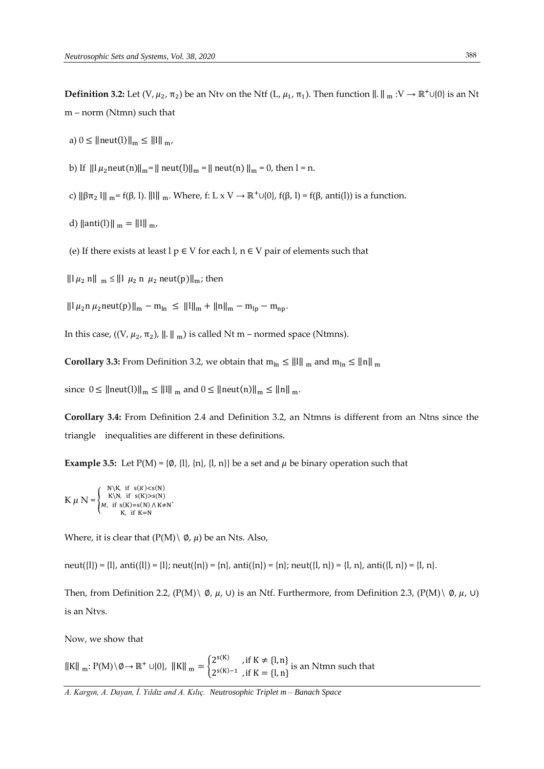**Definition 3.2:** Let (V,  $\mu_2$ , π<sub>2</sub>) be an Ntv on the Ntf (L,  $\mu_1$ , π<sub>1</sub>). Then function  $\|.\|$ <sub>m</sub> : V → ℝ<sup>+</sup>∪{0} is an Nt m – norm (Ntmn) such that

- a)  $0 \le ||\text{neut}(l)||_{m} \le ||l||_{m}$
- b) If  $|| \ln \mu_2$ neut(n)  $||_m = ||$  neut(l)  $||_m = ||$  neut(n)  $||_m = 0$ , then  $l = n$ .
- c)  $\|\beta\pi_2\|_{m} = f(\beta, 1)$ .  $\|\| \|\|_{m}$ . Where, f: L x V  $\rightarrow \mathbb{R}^+\cup\{0\}$ ,  $f(\beta, 1) = f(\beta, \text{anti}(1))$  is a function.
- d)  $\|\text{anti}(l)\|_{m} = \|l\|_{m}$
- (e) If there exists at least  $l p \in V$  for each  $l, n \in V$  pair of elements such that
- $\|\cdot\|_{\mu_2}$  n $\|\cdot\|_{\mu_2} \leq \|\cdot\|_{\mu_2}$  n  $\mu_2$  neut(p) $\|\cdot\|_{\mu_2}$ ; then
- $||ln \mu_2 n \mu_2$ neut(p) $||_{m} m_{ln} \le ||ln||_{m} + ||n||_{m} m_{ln} m_{np}$ .

In this case,  $((V, \mu_2, \pi_2), ||.||_{m})$  is called Nt m – normed space (Ntmns).

**Corollary 3.3:** From Definition 3.2, we obtain that  $m_{ln} \le ||1||_{m}$  and  $m_{ln} \le ||n||_{m}$ 

since  $0 \leq ||neut(||)||_m \leq ||1||_m$  and  $0 \leq ||neut(n)||_m \leq ||n||_m$ .

**Corollary 3.4:** From Definition 2.4 and Definition 3.2, an Ntmns is different from an Ntns since the triangle inequalities are different in these definitions.

**Example 3.5:** Let  $P(M) = \{\emptyset, \{l\}, \{n\}, \{l, n\}\}\$  be a set and  $\mu$  be binary operation such that

$$
K \mu N = \begin{cases} \text{N} \backslash K, & \text{if } s(K) < s(N) \\ \text{K} \backslash N, & \text{if } s(K) > s(N) \\ M, & \text{if } s(K) = s(N) \land K \neq N \\ \text{K}, & \text{if } K = N \end{cases}.
$$

Where, it is clear that  $(P(M) \setminus \emptyset, \mu)$  be an Nts. Also,

neut({l}) = {l}, anti({l}) = {l}; neut({n}) = {n}, anti({n}) = {n}; neut({l, n}) = {l, n}, anti({l, n}) = {l, n}.

Then, from Definition 2.2,  $(P(M) \setminus \emptyset, \mu, \cup)$  is an Ntf. Furthermore, from Definition 2.3,  $(P(M) \setminus \emptyset, \mu, \cup)$ is an Ntvs.

Now, we show that

 $\|K\|_{m}: P(M) \setminus \emptyset \to \mathbb{R}^+ \cup \{0\}, \|K\|_{m} = \begin{cases} 2^{s(K)} & \text{if } K \neq \{1, n\} \\ 2^{s(K)-1} & \text{if } K = 0, n \end{cases}$ 2<sup>s(K)−1</sup>, if K = {l, n} is an Ntmn such that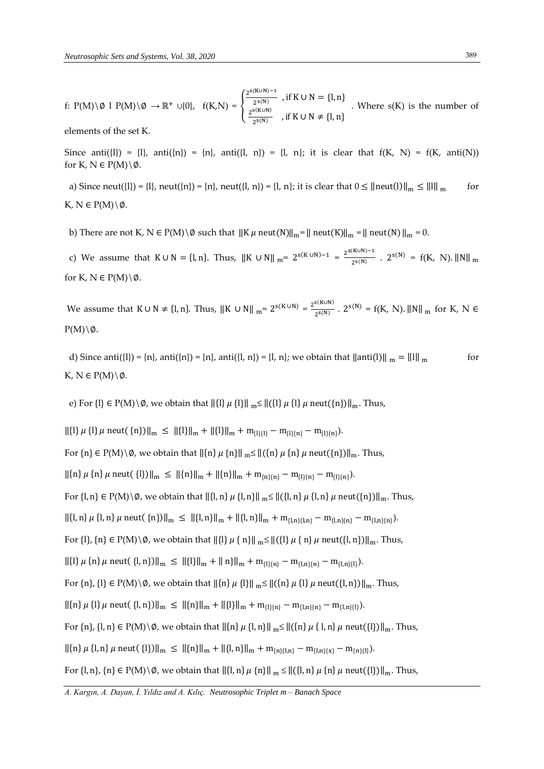f: P(M)\Ø l P(M)\Ø →  $\mathbb{R}^+$  ∪{0}, f(K,N) = { 2 s(K∪N)−1  $\frac{1}{2^{s(N)}}$ , if K  $\cup$  N = {l, n}  $2^{s(K\cup N)}$  $\frac{1}{2^{s(N)}}$ , if K ∪ N  $\neq \{l, n\}$ . Where s(K) is the number of

elements of the set K.

Since anti $(\{I\}) = \{I\}$ , anti $(\{n\}) = \{n\}$ , anti $(\{I, n\}) = \{I, n\}$ ; it is clear that  $f(K, N) = f(K, \text{anti}(N))$ for K,  $N \in P(M) \backslash \emptyset$ .

a) Since neut({l}) = {l}, neut({n}) = {n}, neut({l, n}) = {l, n}; it is clear that  $0 \le ||\text{neut}(1)||_m \le ||\text{||}$  m for K,  $N \in P(M) \backslash \emptyset$ .

b) There are not K, N  $\in$  P(M)\ $\emptyset$  such that  $||K \mu$  neut(N) $||_m = ||\text{neut}(K)||_m = ||\text{neut}(N)||_m = 0$ .

c) We assume that  $K \cup N = \{l, n\}$ . Thus,  $\|K \cup N\|_{m} = 2^{s(K \cup N)-1} = \frac{2^{s(K \cup N)-1}}{2^{s(N)}}$  $\frac{2^{s(N)}}{2^{s(N)}}$  .  $2^{s(N)} = f(K, N)$ . ||N|| <sub>m</sub> for K,  $N \in P(M) \backslash \emptyset$ .

We assume that  $K \cup N \neq \{1, n\}$ . Thus,  $||K \cup N||_{m} = 2^{s(K \cup N)} = \frac{2^{s(K \cup N)}}{2^{s(N)}}$  $\frac{2^{s(N)}}{2^{s(N)}}$ .  $2^{s(N)} = f(K, N)$ . ||N|| <sub>m</sub> for K, N  $\in$  $P(M)\backslash\emptyset$ .

d) Since anti $(\{l\}) = \{n\}$ , anti $(\{n\}) = \{n\}$ , anti $(\{l, n\}) = \{l, n\}$ ; we obtain that  $\|\text{anti}(l)\|_{m} = \|l\|_{m}$  for K,  $N \in P(M) \backslash \emptyset$ .

e) For  $\{l\} \in P(M) \setminus \emptyset$ , we obtain that  $\|\{l\} \mu \{l\}\|_{m} \leq \|(\{l\} \mu \{l\} \mu \text{neut}(\{n\})\|_{m}$ . Thus,

 $\left\|\{1\} \mu\{1\} \mu \text{ neut}(\{n\})\right\|_{m} \leq \left\|\{1\}\right\|_{m} + \left\|\{1\}\right\|_{m} + m_{\{1\}\{1\}} - m_{\{1\}\{n\}} - m_{\{1\}\{n\}}.$ 

For  $\{n\} \in P(M) \setminus \emptyset$ , we obtain that  $\|\{n\} \mu\{n\}\|_{m} \leq \|(\{n\} \mu\{n\} \mu\{\{n\} \mu\{\{n\}})\|_{m}$ . Thus,

 $\left\|\{\mathbf{n}\}\mu\{\mathbf{n}\}\mu\{\mathbf{n}\}\mu\right\|_{\mathbf{m}} \leq \left\|\{\mathbf{n}\}\right\|_{\mathbf{m}} + \left\|\{\mathbf{n}\}\right\|_{\mathbf{m}} + \mathbf{m}_{\{\mathbf{n}\}\{\mathbf{n}\}} - \mathbf{m}_{\{\mathbf{l}\}\{\mathbf{n}\}} - \mathbf{m}_{\{\mathbf{l}\}\{\mathbf{n}\}}\right).$ 

For  $\{l, n\} \in P(M) \setminus \emptyset$ , we obtain that  $\|\{l, n\} \mu\{l, n\}\|_{m} \leq \|\{l, n\} \mu\{l, n\} \mu$  neut $(\{n\})\|_{m}$ . Thus,

 $\left\|\{l, n\} \mu\{l, n\} \mu \text{ neut}(\{n\})\right\|_{m} \leq \left\|\{l, n\}\right\|_{m} + \left\|\{l, n\}\right\|_{m} + m_{\{l, n\}\{l, n\}} - m_{\{l, n\}\{n\}} - m_{\{l, n\}\{n\}}.$ 

For  $\{l\}$ ,  $\{n\} \in P(M) \setminus \emptyset$ , we obtain that  $\|\{l\} \mu \{n\}\|_{m} \leq \|(\{l\} \mu \{n\} \mu \text{ neut}(\{l,n\})\|_{m}$ . Thus,

 $\left\|\{\mathbf{l}\}\right\| \mu$  {n}  $\mu$  neut( {l, n}) $\|\mathbf{m} \leq \|\{\mathbf{l}\}\|_{\mathbf{m}} + \|\mathbf{n}\|\mathbf{m} + \mathbf{m}_{\{\mathbf{l}\}\{\mathbf{n}\}} - \mathbf{m}_{\{\mathbf{l},\mathbf{n}\}\{\mathbf{n}\}} - \mathbf{m}_{\{\mathbf{l},\mathbf{n}\}\{\mathbf{l}\}}\right).$ 

For  $\{n\}$ ,  $\{l\} \in P(M) \setminus \emptyset$ , we obtain that  $\|\{n\} \mu \{l\}\|_{m} \leq \|(\{n\} \mu \{l\} \mu \text{ neut}(\{l, n\})\|_{m}$ . Thus,

 $\left\|\{\mathbf{n}\}\mu\{\mathbf{l}\}\mu\right\|_{\mathcal{H}} \text{ neut}(\{\mathbf{l},\mathbf{n}\})\right\|_{\mathbf{m}} \leq \left\|\{\mathbf{n}\}\right\|_{\mathbf{m}} + \left\|\{\mathbf{l}\}\right\|_{\mathbf{m}} + \mathbf{m}_{\{\mathbf{l}\}\{\mathbf{n}\}} - \mathbf{m}_{\{\mathbf{l},\mathbf{n}\}\{\mathbf{n}\}} - \mathbf{m}_{\{\mathbf{l},\mathbf{n}\}\{\mathbf{l}\}}\right).$ 

For  $\{n\}$ ,  $\{l, n\} \in P(M) \setminus \emptyset$ , we obtain that  $\|\{n\} \mu \{l, n\}\|_{m} \leq \|(\{n\} \mu \{l, n\} \mu \text{ neut}(\{l\})\|_{m}$ . Thus,

 $\left\|\{n\} \mu\{l,n\} \mu \text{ neut}(\{l\})\right\|_{m} \leq \left\|\{n\}\right\|_{m} + \left\|\{l,n\}\right\|_{m} + m_{\{n\}\{l,n\}} - m_{\{l,n\}\{x\}} - m_{\{n\}\{l\}}\right).$ 

For  $\{l, n\}$ ,  $\{n\} \in P(M) \setminus \emptyset$ , we obtain that  $\|\{l, n\} \mu \{n\}\|_{m} \leq \|\{(l, n\} \mu \{n\} \mu \text{neut}(\{l\})\|_{m}$ . Thus,

*A. Kargın, A. Dayan, İ. Yıldız and A. Kılıç. Neutrosophic Triplet m – Banach Space*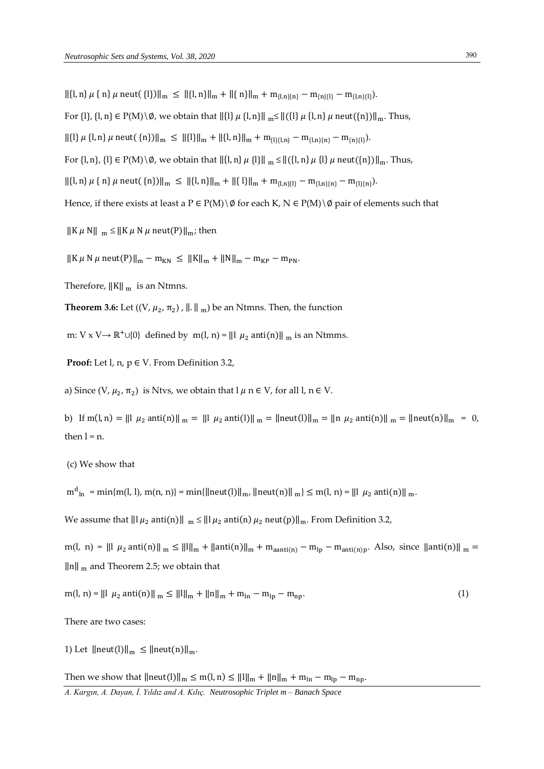$\|\{l,n\}\mu\{\{n}\}\mu$  neut( $\{l\}\|\|_{m} \leq \|\{l,n\}\|_{m} + \|\{n\}\|_{m} + m_{\{l,n\}\{n\}} - m_{\{n\}\{l\}} - m_{\{l,n\}\{l\}}).$ 

For  $\{l\}$ ,  $\{l, n\} \in P(M) \setminus \emptyset$ , we obtain that  $\|\{l\} \mu \{l, n\}\|_{m} \leq \|\{l\} \mu \{l, n\} \mu$  neut $(\{n\})\|_{m}$ . Thus,

 $\left\|\{\mathbf{l}\}\right\| \mu\{\mathbf{l},\mathbf{n}\}\mu$  neut $(\{\mathbf{n}\})\|_{\mathbf{m}} \leq \left\|\{\mathbf{l}\}\right\|_{\mathbf{m}} + \left\|\{\mathbf{l},\mathbf{n}\}\right\|_{\mathbf{m}} + \mathbf{m}_{\{\mathbf{l}\}\{\mathbf{l},\mathbf{n}\}} - \mathbf{m}_{\{\mathbf{l},\mathbf{n}\}\{\mathbf{n}\}} - \mathbf{m}_{\{\mathbf{n}\}\{\mathbf{l}\}}.$ 

For  $\{l, n\}$ ,  $\{l\} \in P(M) \setminus \emptyset$ , we obtain that  $\|\{l, n\} \mu\{l\}\|_{m} \leq \|\{(l, n\} \mu\{l\} \mu$  neut $(\{n\})\|_{m}$ . Thus,

 $\left\|\{l,n\}\mu\{\,n\}\mu\,\text{neut}(\,\{n\})\right\|_{m} \leq \left\|\{l,n\}\right\|_{m} + \left\|\{l\}\right\|_{m} + m_{\{l,n\}\{l\}} - m_{\{l,n\}\{n\}} - m_{\{l\}\{n\}}\right).$ 

Hence, if there exists at least a  $P \in P(M) \setminus \emptyset$  for each K,  $N \in P(M) \setminus \emptyset$  pair of elements such that

 $\|K \mu N\|_{m} \leq \|K \mu N \mu \text{ neut}(P)\|_{m}$ ; then

 $\|K \mu N \mu$  neut(P) $\|_{m} - m_{KN} \leq \|K\|_{m} + \|N\|_{m} - m_{KP} - m_{PN}$ .

Therefore,  $||K||_{m}$  is an Ntmns.

**Theorem 3.6:** Let  $((V, \mu_2, \pi_2), ||.||_{m})$  be an Ntmns. Then, the function

m: V x V  $\rightarrow \mathbb{R}^+ \cup \{0\}$  defined by m(l, n) = ||l  $\mu_2$  anti(n)|| <sub>m</sub> is an Ntmms.

**Proof:** Let  $l$ ,  $n$ ,  $p \in V$ . From Definition 3.2,

a) Since  $(V, \mu_2, \pi_2)$  is Ntvs, we obtain that  $l \mu$  n  $\in V$ , for all  $l, n \in V$ .

b) If  $m(l, n) = ||l \mu_2 \text{anti}(n)||_{m} = ||l \mu_2 \text{anti}(l)||_{m} = ||\text{neut}(l)||_{m} = ||n \mu_2 \text{anti}(n)||_{m} = ||\text{neut}(n)||_{m} = 0$ , then  $l = n$ .

(c) We show that

 $m_{\ln}^{d} = \min\{m(l, l), m(n, n)\} = \min\{\|neut(l)\|_{m}, \, \|\text{neut}(n)\|_{m}\} \leq m(l, n) = \|l\|_{\mu_2} \text{ anti}(n)\|_{m}.$ 

We assume that  $||\mu_2$  anti(n) $||_m \le ||\mu_2$  anti(n)  $\mu_2$  neut(p) $||_m$ . From Definition 3.2,

 $m(l, n) = ||l \mu_2 \text{anti}(n)||_{m} \leq ||l||_{m} + ||\text{anti}(n)||_{m} + m_{\text{aanti}(n)} - m_{lp} - m_{\text{anti}(n)p}$ . Also, since  $||\text{anti}(n)||_{m} =$  $\|n\|_{m}$  and Theorem 2.5; we obtain that

 $m(l, n) = ||l \mu_2 \text{ anti}(n) ||_{m} \le ||l||_{m} + ||n||_{m} + m_{ln} - m_{lp} - m_{np}.$  (1)

There are two cases:

1) Let  $\|\text{neut}(\text{l})\|_{m} \leq \|\text{neut}(\text{n})\|_{m}$ .

Then we show that  $||neut(1)||_m \le m(1, n) \le ||1||_m + ||n||_m + m_{ln} - m_{lp} - m_{np}$ .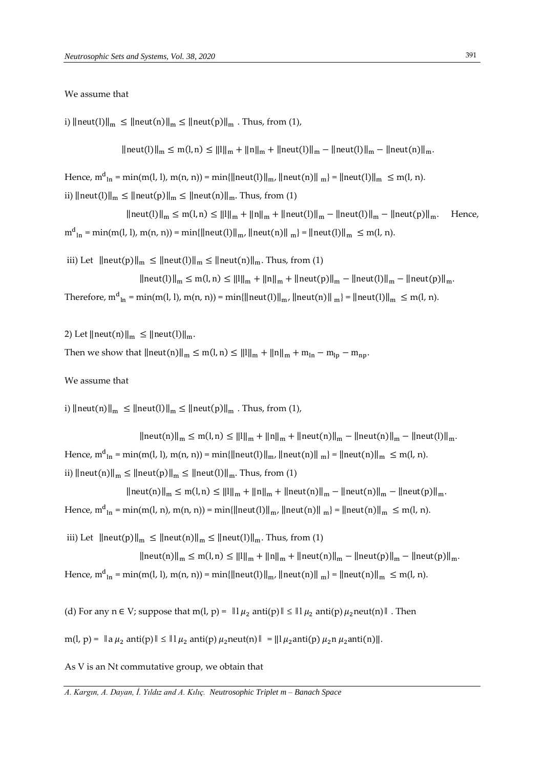#### We assume that

i)  $\|\text{neut}(I)\|_{m} \leq \|\text{neut}(n)\|_{m} \leq \|\text{neut}(p)\|_{m}$ . Thus, from (1),

‖neut(l)‖<sup>m</sup> ≤ m(l, n) ≤ ‖l‖<sup>m</sup> + ‖n‖<sup>m</sup> + ‖neut(l)‖<sup>m</sup> − ‖neut(l)‖<sup>m</sup> − ‖neut(n)‖m.

Hence,  $m^d$ <sub>ln</sub> = min(m(l, l), m(n, n)) = min{||neut(l)||<sub>m</sub>, ||neut(n)||<sub>m</sub>} = ||neut(l)||<sub>m</sub>  $\leq m(l, n)$ .

ii)  $\|\text{neut}(l)\|_{m} \leq \|\text{neut}(p)\|_{m} \leq \|\text{neut}(n)\|_{m}$ . Thus, from (1)

||neut(l)||<sub>m</sub> ≤ m(l, n) ≤ ||l||<sub>m</sub> + ||n||<sub>m</sub> + ||neut(l)||<sub>m</sub> − ||neut(l)||<sub>m</sub> − ||neut(p)||<sub>m</sub>. Hence,  $m_{\ln}^d = \min(m(l, l), m(n, n)) = \min{\|neut(l)\|_m, \|neut(n)\|_{m}} = \|neut(l)\|_m \le m(l, n).$ 

iii) Let  $\|\text{neut}(p)\|_{m} \leq \|\text{neut}(l)\|_{m} \leq \|\text{neut}(n)\|_{m}$ . Thus, from (1)

 $\|\text{neut}(l)\|_{m} \leq m(l,n) \leq \|l\|_{m} + \|l\|_{m} + \|\text{neut}(p)\|_{m} - \|\text{neut}(l)\|_{m} - \|\text{neut}(p)\|_{m}$ . Therefore,  $m_{\text{ln}}^d = \min(m(l, l), m(n, n)) = \min{\{\|neut(l)\|_{m}, \|\neut(n)\|_{m}\}} = \|\text{neut}(l)\|_{m} \le m(l, n).$ 

2) Let  $\|\text{neut}(n)\|_{m} \leq \|\text{neut}(l)\|_{m}$ . Then we show that  $||neut(n)||_m \le m(l, n) \le ||l||_m + ||n||_m + m_{ln} - m_{lp} - m_{np}$ .

We assume that

i)  $\|\text{neut}(n)\|_{m} \leq \|\text{neut}(l)\|_{m} \leq \|\text{neut}(p)\|_{m}$ . Thus, from (1),

 $\|\text{neut}(n)\|_{m} \leq m(l,n) \leq \|l\|_{m} + \|n\|_{m} + \|\text{neut}(n)\|_{m} - \|\text{neut}(n)\|_{m} - \|\text{neut}(l)\|_{m}$ . Hence,  $m^{d}{}_{ln} = min(m(l, l), m(n, n)) = min{\|neut(l)\|_{m}, \|\text{neut}(n)\|_{m}} = \|\text{neut}(n)\|_{m} \le m(l, n).$ ii)  $\|\text{neut}(n)\|_{m} \leq \|\text{neut}(p)\|_{m} \leq \|\text{neut}(l)\|_{m}$ . Thus, from (1)

 $\|\text{neut}(n)\|_{m} \leq m(l,n) \leq \|l\|_{m} + \|n\|_{m} + \|\text{neut}(n)\|_{m} - \|\text{neut}(n)\|_{m} - \|\text{neut}(p)\|_{m}.$ Hence,  $m_{\text{ln}}^d = \min(m(l, n), m(n, n)) = \min{\{\|\text{neut}(l)\|_{m}, \|\text{neut}(n)\|_{m}\}} = \|\text{neut}(n)\|_{m} \le m(l, n).$ 

iii) Let  $\|\text{neut}(p)\|_{m} \leq \|\text{neut}(n)\|_{m} \leq \|\text{neut}(l)\|_{m}$ . Thus, from (1)  $\|\text{neut}(n)\|_{m} \leq m(l, n) \leq \|l\|_{m} + \|n\|_{m} + \|\text{neut}(n)\|_{m} - \|\text{neut}(p)\|_{m} - \|\text{neut}(p)\|_{m}.$ Hence,  $m_{\text{ln}}^d = \min(m(l, l), m(n, n)) = \min{\{\|\text{neut}(l)\|_{m}, \|\text{neut}(n)\|_{m}\}} = \|\text{neut}(n)\|_{m} \leq m(l, n).$ 

(d) For any  $n \in V$ ; suppose that m(l,  $p$ ) =  $\|\mu_2\right) \leq \| \mu_2\|$  anti(p)  $\mu_2$ neut(n) $\|$ . Then

 $m(l, p) = \|\mathbf{a} \mu_2 \text{ anti}(p) \| \leq \|\mathbf{l} \mu_2 \text{ anti}(p) \mu_2 \text{ neutr}(n) \| = \|\mathbf{l} \mu_2 \text{ anti}(p) \mu_2 \text{nu}(n) \|$ .

As V is an Nt commutative group, we obtain that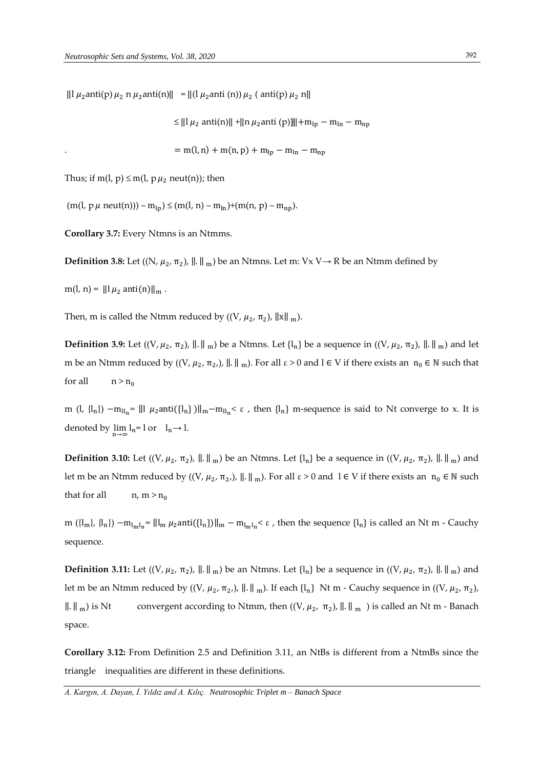$\| \ln \mu_2$  anti $(p) \mu_2$  n  $\mu_2$  anti $(n)$  $\| = \| (\ln \mu_2)$  anti $(n) \mu_2$  (anti $(p) \mu_2$  n $\|$ 

≤ ||1  $\mu_2$  anti(n)|| +||n  $\mu_2$ anti (p))||+m<sub>lp</sub> − m<sub>ln</sub> − m<sub>np</sub>

$$
= m(l, n) + m(n, p) + m_{lp} - m_{ln} - m_{np}
$$

Thus; if  $m(l, p) \le m(l, p \mu_2 \text{ neut}(n))$ ; then

 $(m(l, p \mu \text{ neut}(n))) - m_{ln}) \leq (m(l, n) - m_{ln}) + (m(n, p) - m_{nn}).$ 

**Corollary 3.7:** Every Ntmns is an Ntmms.

**Definition 3.8:** Let  $((N, \mu_2, \pi_2), ||.||_{m})$  be an Ntmns. Let m: Vx V $\rightarrow$  R be an Ntmm defined by

 $m(l, n) = ||l \mu_2 \text{ anti}(n)||_m$ .

Then, m is called the Ntmm reduced by  $((V, \mu_2, \pi_2), ||x||_m)$ .

**Definition 3.9:** Let  $((V, \mu_2, \pi_2), ||.||_{m})$  be a Ntmns. Let  $\{l_n\}$  be a sequence in  $((V, \mu_2, \pi_2), ||.||_{m})$  and let m be an Ntmm reduced by  $((V, \mu_2, \pi_2))$ ,  $\|\cdot\|_{m}$ ). For all  $\varepsilon > 0$  and  $l \in V$  if there exists an  $n_0 \in \mathbb{N}$  such that for all  $n > n_0$ 

m (l, {l<sub>n</sub>}) –m<sub>lln</sub>= ||1 μ<sub>2</sub>anti({l<sub>n</sub>})||<sub>m</sub>−m<sub>lln</sub>< ε, then {l<sub>n</sub>} m-sequence is said to Nt converge to x. It is denoted by  $\lim_{n\to\infty} I_n = 1$  or  $I_n \to 1$ .

**Definition 3.10:** Let  $((V, \mu_2, \pi_2), ||.||_{m})$  be an Ntmns. Let  $\{l_n\}$  be a sequence in  $((V, \mu_2, \pi_2), ||.||_{m})$  and let m be an Ntmm reduced by  $((V, \mu_2, \pi_2))$ ,  $\|\cdot\|_{m}$ ). For all  $\varepsilon > 0$  and  $1 \in V$  if there exists an  $n_0 \in \mathbb{N}$  such that for all  $n, m > n_0$ 

m ({l<sub>m</sub>}, {l<sub>n</sub>}) -m<sub>lm</sub>l<sub>n</sub>= ||l<sub>m</sub> µ<sub>2</sub>anti({l<sub>n</sub>})||<sub>m</sub> - m<sub>lm</sub>l<sub>n</sub><  $\varepsilon$ , then the sequence {l<sub>n</sub>} is called an Nt m - Cauchy sequence.

**Definition 3.11:** Let  $((V, \mu_2, \pi_2), ||.||_{m})$  be an Ntmns. Let  $\{l_n\}$  be a sequence in  $((V, \mu_2, \pi_2), ||.||_{m})$  and let m be an Ntmm reduced by  $((V, \mu_2, \pi_2), \| \| \|_{m})$ . If each  $\{\vert_n\}$  Nt m - Cauchy sequence in  $((V, \mu_2, \pi_2),$  $\|\cdot\|_{m}$  is Nt convergent according to Ntmm, then  $((V, \mu_2, \pi_2), \|.\|_{m})$  is called an Nt m - Banach space.

**Corollary 3.12:** From Definition 2.5 and Definition 3.11, an NtBs is different from a NtmBs since the triangle inequalities are different in these definitions.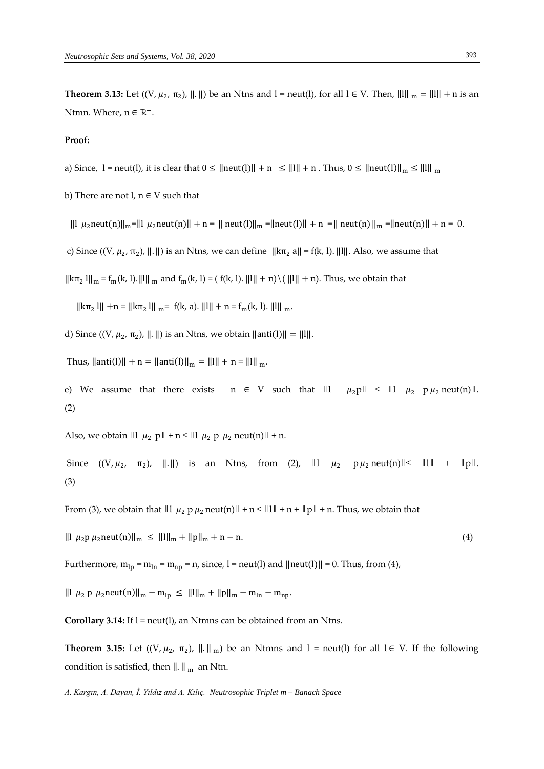**Theorem 3.13:** Let  $((V, \mu_2, \pi_2), ||.||)$  be an Ntns and l = neut(l), for all l  $\in$  V. Then,  $|| \cdot || ||_m = || \cdot || + n$  is an Ntmn. Where,  $n \in \mathbb{R}^+$ .

#### **Proof:**

a) Since,  $l = \text{neut}(l)$ , it is clear that  $0 \le ||\text{neut}(l)|| + n \le ||l|| + n$ . Thus,  $0 \le ||\text{neut}(l)||_{m} \le ||l||_{m}$ 

b) There are not  $l, n \in V$  such that

 $\| |\mu_2| \leq \mu_2$ neut(n)  $\|m\| = \| \mu_2$ neut(n)  $\|m\| = \|m\|$ neut(l)  $\|m\| = \|m\|$ neut(n)  $\|m\| = \|m\|$ neut(n)  $\|m\| = 0$ .

c) Since  $((V, \mu_2, \pi_2), ||.||)$  is an Ntns, we can define  $||k\pi_2|| = f(k, l)$ .  $||l||$ . Also, we assume that

 $\|\kappa\pi_2\|\|_{\mathfrak{m}} = f_m(k, 1)$ . ||1||  $_m$  and  $f_m(k, 1) = (f(k, 1), ||1|| + n) \cdot (||1|| + n)$ . Thus, we obtain that

 $\|\kappa \pi_2\| + n = \|\kappa \pi_2\|_{m} = f(k, a)$ .  $\|1\| + n = f_m(k, 1)$ .  $\|1\|_{m}$ .

d) Since  $((V, \mu_2, \pi_2), ||.||)$  is an Ntns, we obtain  $||\text{anti}(l)|| = ||.||.||.$ 

Thus,  $\|\text{anti}(l)\| + n = \|\text{anti}(l)\|_{m} = \|l\| + n = \|l\|_{m}$ .

e) We assume that there exists  $n \in V$  such that  $||1 \mu_2 p|| \le ||1 \mu_2 p \mu_2$  neut(n)  $||.$ (2)

Also, we obtain  $\| \cdot \|_{\mu_2}$  p  $\| + n \le \| \cdot \|_{\mu_2}$  p  $\mu_2$  neut(n)  $\| + n$ .

Since  $((V, \mu_2, \pi_2), \| \|)$  is an Ntns, from (2),  $\| \cdot \| \mu_2 \cdot p \mu_2 \text{neut(n)} \| \le \| \| \cdot \| + \| p \|$ . (3)

From (3), we obtain that  $\|l\|_{\mu_2} p \mu_2$  neut(n)  $\| \cdot n \le \|l\| + n + \|p\| + n$ . Thus, we obtain that

 $\| |\mu_2 p \mu_2 \text{neut}(n) \|_{m} \leq \| |m\|_{m} + \| p \|_{m} + n - n.$  (4)

Furthermore,  $m_{lp} = m_{ln} = m_{np} = n$ , since, l = neut(l) and  $\|$ neut(l) $\| = 0$ . Thus, from (4),

 $|||$  μ<sub>2</sub> p μ<sub>2</sub> neut(n)||<sub>m</sub> − m<sub>lp</sub> ≤ ||1||<sub>m</sub> + ||p||<sub>m</sub> − m<sub>ln</sub> − m<sub>np</sub>.

**Corollary 3.14:** If l = neut(l), an Ntmns can be obtained from an Ntns.

**Theorem 3.15:** Let  $((V, \mu_2, \pi_2), ||.||_{m})$  be an Ntmns and l = neut(l) for all  $l \in V$ . If the following condition is satisfied, then  $\|.\|_{m}$  an Ntn.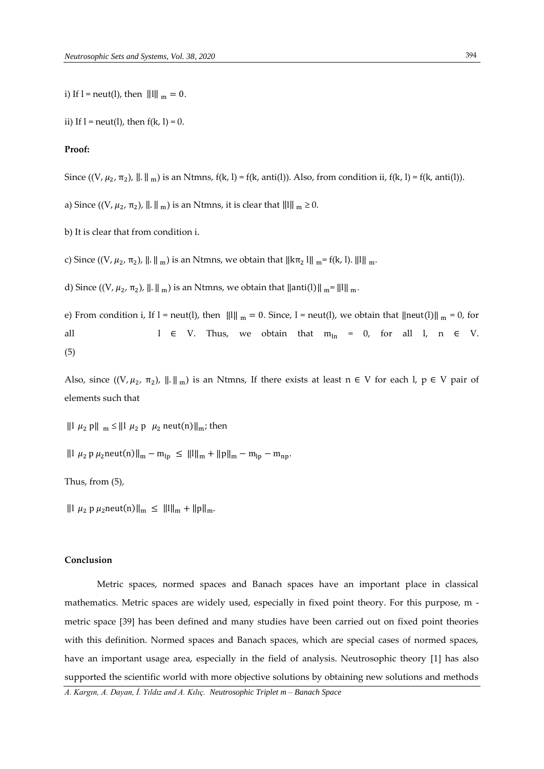ii) If  $l =$  neut(l), then  $f(k, l) = 0$ .

# **Proof:**

Since  $((V, \mu_2, \pi_2), ||.||_m)$  is an Ntmns,  $f(k, l) = f(k, anti(l))$ . Also, from condition ii,  $f(k, l) = f(k, anti(l))$ .

a) Since  $((V, \mu_2, \pi_2), ||.||_{m})$  is an Ntmns, it is clear that  $||.||_{m} \ge 0$ .

b) It is clear that from condition i.

c) Since  $((V, \mu_2, \pi_2), ||.||_{m})$  is an Ntmns, we obtain that  $||k\pi_2||_{m} = f(k, l). ||1||_{m}$ .

d) Since  $((V, \mu_2, \pi_2), ||.||_{m})$  is an Ntmns, we obtain that  $||$ anti $(l) ||_{m} = ||l||_{m}$ .

e) From condition i, If l = neut(l), then  $|||||_m = 0$ . Since, l = neut(l), we obtain that  $||neut(||)||_m = 0$ , for all  $l \in V$ . Thus, we obtain that  $m_{ln} = 0$ , for all  $l$ ,  $n \in V$ . (5)

Also, since  $((V, \mu_2, \pi_2), \| \| \|_m)$  is an Ntmns, If there exists at least  $n \in V$  for each  $l, p \in V$  pair of elements such that

 $\| \cdot \| \mu_2 \cdot \rho \|_{\mathfrak{m}} \leq \| \cdot \| \mu_2 \cdot \rho \|_{\mathfrak{m}} \mu_2 \text{ neut}(n) \|_{\mathfrak{m}}$ ; then

‖l <sup>2</sup> p 2neut(n)‖<sup>m</sup> − mlp ≤ ‖l‖<sup>m</sup> +‖p‖<sup>m</sup> − mlp − mnp.

Thus, from (5),

 $\| \cdot \|_{\mu_2}$  p  $\mu_2$ neut(n) $\|_{\mu_2} \leq \| \cdot \|_{\mu_2} + \| \cdot \|_{\mu_1}$ .

## **Conclusion**

Metric spaces, normed spaces and Banach spaces have an important place in classical mathematics. Metric spaces are widely used, especially in fixed point theory. For this purpose, m metric space [39] has been defined and many studies have been carried out on fixed point theories with this definition. Normed spaces and Banach spaces, which are special cases of normed spaces, have an important usage area, especially in the field of analysis. Neutrosophic theory [1] has also supported the scientific world with more objective solutions by obtaining new solutions and methods

*A. Kargın, A. Dayan, İ. Yıldız and A. Kılıç. Neutrosophic Triplet m – Banach Space*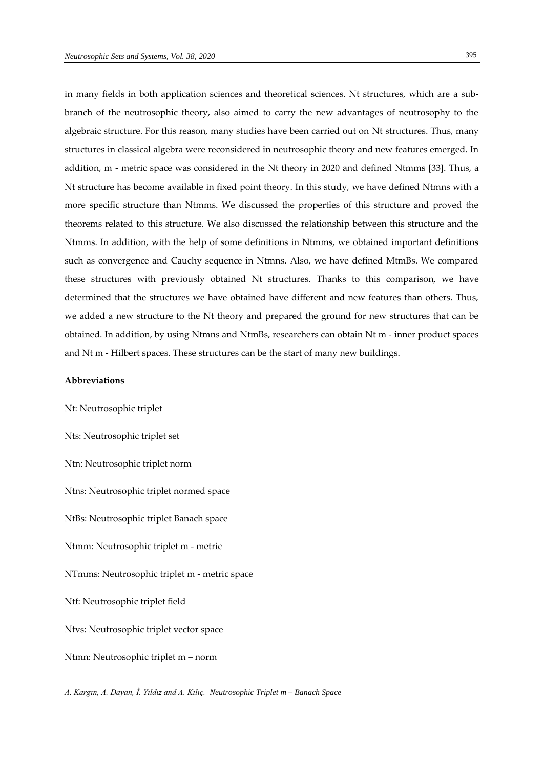395

in many fields in both application sciences and theoretical sciences. Nt structures, which are a subbranch of the neutrosophic theory, also aimed to carry the new advantages of neutrosophy to the algebraic structure. For this reason, many studies have been carried out on Nt structures. Thus, many structures in classical algebra were reconsidered in neutrosophic theory and new features emerged. In addition, m - metric space was considered in the Nt theory in 2020 and defined Ntmms [33]. Thus, a Nt structure has become available in fixed point theory. In this study, we have defined Ntmns with a more specific structure than Ntmms. We discussed the properties of this structure and proved the theorems related to this structure. We also discussed the relationship between this structure and the Ntmms. In addition, with the help of some definitions in Ntmms, we obtained important definitions such as convergence and Cauchy sequence in Ntmns. Also, we have defined MtmBs. We compared these structures with previously obtained Nt structures. Thanks to this comparison, we have determined that the structures we have obtained have different and new features than others. Thus, we added a new structure to the Nt theory and prepared the ground for new structures that can be obtained. In addition, by using Ntmns and NtmBs, researchers can obtain Nt m - inner product spaces and Nt m - Hilbert spaces. These structures can be the start of many new buildings.

# **Abbreviations**

Nt: Neutrosophic triplet Nts: Neutrosophic triplet set Ntn: Neutrosophic triplet norm Ntns: Neutrosophic triplet normed space NtBs: Neutrosophic triplet Banach space Ntmm: Neutrosophic triplet m - metric NTmms: Neutrosophic triplet m - metric space Ntf: Neutrosophic triplet field Ntvs: Neutrosophic triplet vector space Ntmn: Neutrosophic triplet m – norm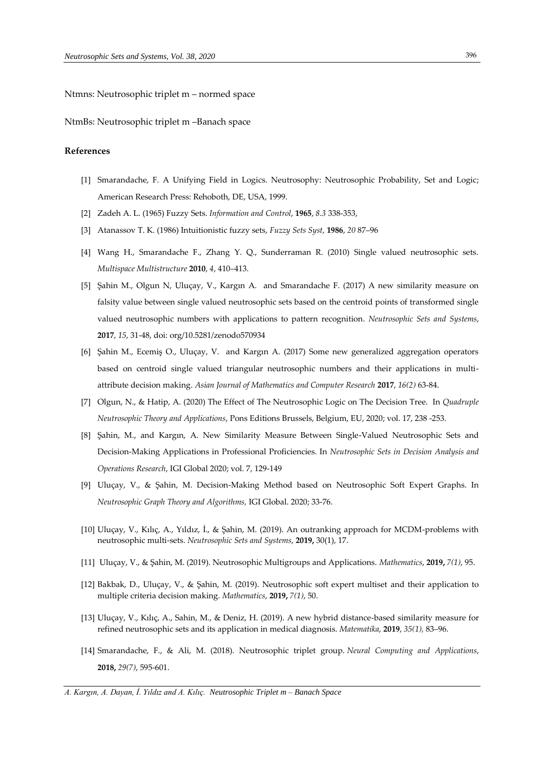Ntmns: Neutrosophic triplet m – normed space

NtmBs: Neutrosophic triplet m –Banach space

#### **References**

- [1] Smarandache, F. A Unifying Field in Logics. Neutrosophy: Neutrosophic Probability, Set and Logic; American Research Press: Rehoboth, DE, USA, 1999.
- [2] Zadeh A. L. (1965) Fuzzy Sets. *Information and Control*, **1965**, *8.3* 338-353,
- [3] Atanassov T. K. (1986) Intuitionistic fuzzy sets, *Fuzzy Sets Syst*, **1986**, *20* 87–96
- [4] Wang H., Smarandache F., Zhang Y. Q., Sunderraman R. (2010) Single valued neutrosophic sets. *Multispace Multistructure* **2010**, *4*, 410–413.
- [5] Şahin M., Olgun N, Uluçay, V., Kargın A. and Smarandache F. (2017) A new similarity measure on falsity value between single valued neutrosophic sets based on the centroid points of transformed single valued neutrosophic numbers with applications to pattern recognition. *Neutrosophic Sets and Systems*, **2017**, *15*, 31-48, doi: org/10.5281/zenodo570934
- [6] Şahin M., Ecemiş O., Uluçay, V. and Kargın A. (2017) Some new generalized aggregation operators based on centroid single valued triangular neutrosophic numbers and their applications in multiattribute decision making. *Asian Journal of Mathematics and Computer Research* **2017**, *16(2)* 63-84.
- [7] Olgun, N., & Hatip, A. (2020) The Effect of The Neutrosophic Logic on The Decision Tree. In *Quadruple Neutrosophic Theory and Applications*, Pons Editions Brussels, Belgium, EU, 2020; vol. 17, 238 -253.
- [8] Şahin, M., and Kargın, A. New Similarity Measure Between Single-Valued Neutrosophic Sets and Decision-Making Applications in Professional Proficiencies. In *Neutrosophic Sets in Decision Analysis and Operations Research*, IGI Global 2020; vol. 7, 129-149
- [9] Uluçay, V., & Şahin, M. Decision-Making Method based on Neutrosophic Soft Expert Graphs. In *Neutrosophic Graph Theory and Algorithms,* IGI Global. 2020; 33-76.
- [10] Uluçay, V., Kılıç, A., Yıldız, İ., & Şahin, M. (2019). An outranking approach for MCDM-problems with neutrosophic multi-sets. *Neutrosophic Sets and Systems*, **2019,** 30(1), 17.
- [11] Uluçay, V., & Şahin, M. (2019). Neutrosophic Multigroups and Applications. *Mathematics*, **2019,** *7(1)*, 95.
- [12] Bakbak, D., Uluçay, V., & Şahin, M. (2019). Neutrosophic soft expert multiset and their application to multiple criteria decision making. *Mathematics*, **2019,** *7(1)*, 50.
- [13] Uluçay, V., Kılıç, A., Sahin, M., & Deniz, H. (2019). A new hybrid distance-based similarity measure for refined neutrosophic sets and its application in medical diagnosis. *Matematika*, **2019**, *35(1),* 83–96.
- [14] Smarandache, F., & Ali, M. (2018). Neutrosophic triplet group. *Neural Computing and Applications*, **2018,** *29(7)*, 595-601.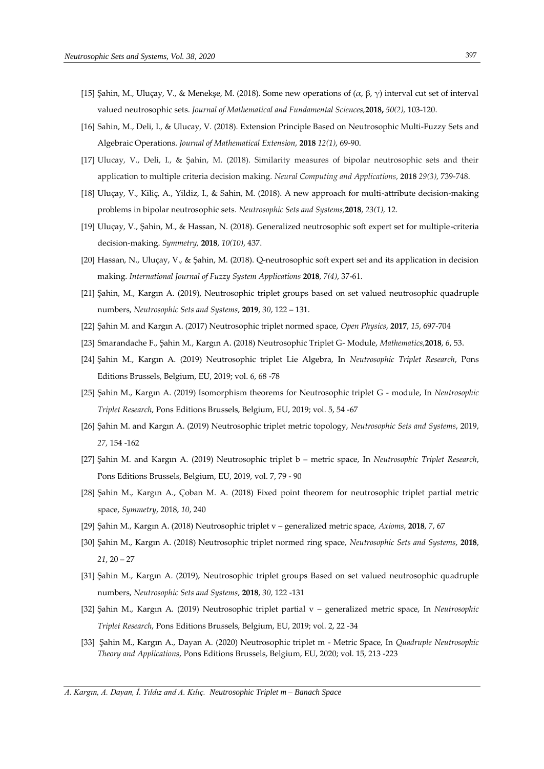- [15] Şahin, M., Uluçay, V., & Menekşe, M. (2018). Some new operations of (α, β, γ) interval cut set of interval valued neutrosophic sets. *Journal of Mathematical and Fundamental Sciences,***2018,** *50(2),* 103-120.
- [16] Sahin, M., Deli, I., & Ulucay, V. (2018). Extension Principle Based on Neutrosophic Multi-Fuzzy Sets and Algebraic Operations. *Journal of Mathematical Extension*, **2018** *12(1)*, 69-90.
- [17] Ulucay, V., Deli, I., & Şahin, M. (2018). Similarity measures of bipolar neutrosophic sets and their application to multiple criteria decision making. *Neural Computing and Applications*, **2018** *29(3)*, 739-748.
- [18] Uluçay, V., Kiliç, A., Yildiz, I., & Sahin, M. (2018). A new approach for multi-attribute decision-making problems in bipolar neutrosophic sets. *Neutrosophic Sets and Systems,***2018**, *23(1),* 12.
- [19] Uluçay, V., Şahin, M., & Hassan, N. (2018). Generalized neutrosophic soft expert set for multiple-criteria decision-making. *Symmetry,* **2018**, *10(10)*, 437.
- [20] Hassan, N., Uluçay, V., & Şahin, M. (2018). Q-neutrosophic soft expert set and its application in decision making. *International Journal of Fuzzy System Applications* **2018**, *7(4)*, 37-61.
- [21] Şahin, M., Kargın A. (2019), Neutrosophic triplet groups based on set valued neutrosophic quadruple numbers, *Neutrosophic Sets and Systems*, **2019**, *30*, 122 – 131.
- [22] Şahin M. and Kargın A. (2017) Neutrosophic triplet normed space, *Open Physics*, **2017**, *15*, 697-704
- [23] Smarandache F., Şahin M., Kargın A. (2018) Neutrosophic Triplet G- Module, *Mathematics,***2018**, *6*, 53.
- [24] Şahin M., Kargın A. (2019) Neutrosophic triplet Lie Algebra, In *Neutrosophic Triplet Research*, Pons Editions Brussels, Belgium, EU, 2019; vol. 6, 68 -78
- [25] Şahin M., Kargın A. (2019) Isomorphism theorems for Neutrosophic triplet G module, In *Neutrosophic Triplet Research*, Pons Editions Brussels, Belgium, EU, 2019; vol. 5, 54 -67
- [26] Şahin M. and Kargın A. (2019) Neutrosophic triplet metric topology, *Neutrosophic Sets and Systems*, 2019, *27,* 154 -162
- [27] Şahin M. and Kargın A. (2019) Neutrosophic triplet b metric space, In *Neutrosophic Triplet Research*, Pons Editions Brussels, Belgium, EU, 2019, vol. 7, 79 - 90
- [28] Şahin M., Kargın A., Çoban M. A. (2018) Fixed point theorem for neutrosophic triplet partial metric space, *Symmetry*, 2018, *10*, 240
- [29] Şahin M., Kargın A. (2018) Neutrosophic triplet v generalized metric space, *Axioms*, **2018**, *7*, 67
- [30] Şahin M., Kargın A. (2018) Neutrosophic triplet normed ring space, *Neutrosophic Sets and Systems*, **2018**, *21*, 20 – 27
- [31] Şahin M., Kargın A. (2019), Neutrosophic triplet groups Based on set valued neutrosophic quadruple numbers, *Neutrosophic Sets and Systems*, **2018**, *30,* 122 -131
- [32] Şahin M., Kargın A. (2019) Neutrosophic triplet partial v generalized metric space, In *Neutrosophic Triplet Research*, Pons Editions Brussels, Belgium, EU, 2019; vol. 2, 22 -34
- [33] Şahin M., Kargın A., Dayan A. (2020) Neutrosophic triplet m Metric Space, In *Quadruple Neutrosophic Theory and Applications*, Pons Editions Brussels, Belgium, EU, 2020; vol. 15, 213 -223